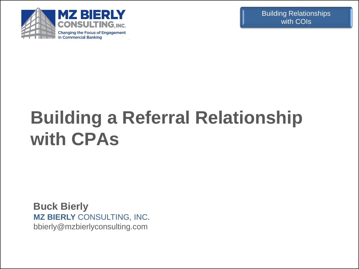

# **Building a Referral Relationship with CPAs**

**Buck Bierly MZ BIERLY** CONSULTING, INC. bbierly@mzbierlyconsulting.com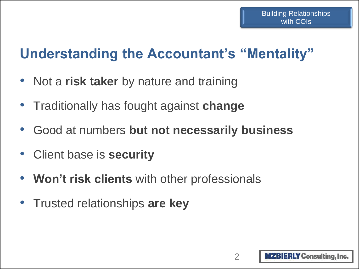## **Understanding the Accountant's "Mentality"**

- Not a **risk taker** by nature and training
- Traditionally has fought against **change**
- Good at numbers **but not necessarily business**
- Client base is **security**
- **Won't risk clients** with other professionals
- Trusted relationships **are key**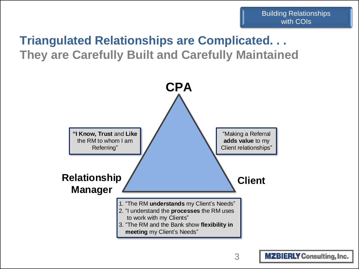## **Triangulated Relationships are Complicated. . . They are Carefully Built and Carefully Maintained**

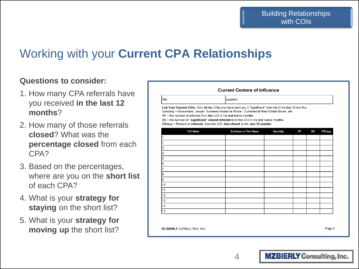## Working with your **Current CPA Relationships**

RM:

#### **Questions to consider:**

- 1. How many CPA referrals have you received **in the last 12 months**?
- 2. How many of those referrals **closed**? What was the **percentage closed** from each CPA?
- 3. Based on the percentages, where are you on the **short list** of each CPA?
- 4. What is your **strategy for staying** on the short list?
- 5. What is your **strategy for moving up** the short list?

| <b>Current Centers of Influence</b> |            |
|-------------------------------------|------------|
|                                     | ILocation: |

List Your Current COIs. Only list the COIs who have sent you 2 "significant" referrals in tha last 12 months Specialty = Accountant, Lawyer, Business Insurance Broker, Commercial Real Estate Broker, etc.

RF = the number of referrals from this COI in the last twelve months

BK = the number of "significant" closed referrals from this COI in the last twelve months

Efficacy = Percent of referrals from this COI that closed in the last 12 months

| <b>COI Name</b> | <b>Business or Firm Name</b> | Specialty | RF | ΒK | Efficacy |
|-----------------|------------------------------|-----------|----|----|----------|
|                 |                              |           |    |    |          |
| 2               |                              |           |    |    |          |
| з               |                              |           |    |    |          |
| 4               |                              |           |    |    |          |
| 5               |                              |           |    |    |          |
| 6               |                              |           |    |    |          |
| 7               |                              |           |    |    |          |
| l8              |                              |           |    |    |          |
| 9               |                              |           |    |    |          |
| 10              |                              |           |    |    |          |
| 11              |                              |           |    |    |          |
| 12              |                              |           |    |    |          |
| 13              |                              |           |    |    |          |
| 14              |                              |           |    |    |          |
| 15              |                              |           |    |    |          |

MZ BIERLY CONSULTING. INC.

Page 1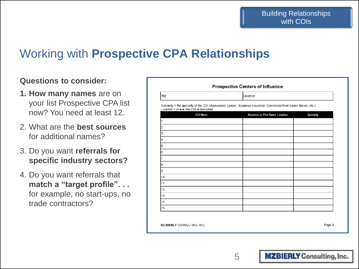## Working with **Prospective CPA Relationships**

#### **Questions to consider:**

- **1. How many names** are on your list Prospective CPA list now? You need at least 12.
- 2. What are the **best sources** for additional names?
- 3. Do you want **referrals for specific industry sectors?**
- 4. Do you want referrals that **match a "target profile". . .** for example, no start-ups, no trade contractors?

| RM:                                                                                                                                                         | Location:                              |           |
|-------------------------------------------------------------------------------------------------------------------------------------------------------------|----------------------------------------|-----------|
| Specialty = the specialty of the COI (Accountant, Lawyer, Business Insurance, Commerial Real Estate Broker, etc.)<br>Location = where this COI is domiciled |                                        |           |
| <b>COI Name</b>                                                                                                                                             | <b>Business or Firm Name, Location</b> | Specialty |
|                                                                                                                                                             |                                        |           |
| 2                                                                                                                                                           |                                        |           |
| 3                                                                                                                                                           |                                        |           |
| 4                                                                                                                                                           |                                        |           |
| 5                                                                                                                                                           |                                        |           |
| 6                                                                                                                                                           |                                        |           |
| 7                                                                                                                                                           |                                        |           |
| 8                                                                                                                                                           |                                        |           |
| g                                                                                                                                                           |                                        |           |
| 10                                                                                                                                                          |                                        |           |
| 11                                                                                                                                                          |                                        |           |
| 12                                                                                                                                                          |                                        |           |
| 13                                                                                                                                                          |                                        |           |
| 14                                                                                                                                                          |                                        |           |
| 15                                                                                                                                                          |                                        |           |

Page 3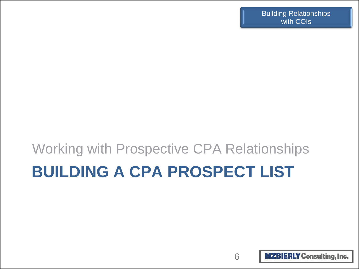# **BUILDING A CPA PROSPECT LIST** Working with Prospective CPA Relationships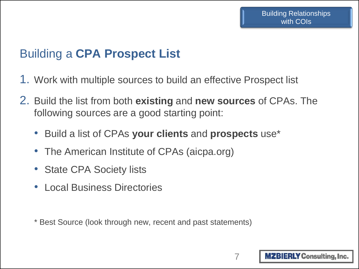## Building a **CPA Prospect List**

- 1. Work with multiple sources to build an effective Prospect list
- 2. Build the list from both **existing** and **new sources** of CPAs. The following sources are a good starting point:
	- Build a list of CPAs **your clients** and **prospects** use\*
	- The American Institute of CPAs (aicpa.org)
	- State CPA Society lists
	- Local Business Directories
	- \* Best Source (look through new, recent and past statements)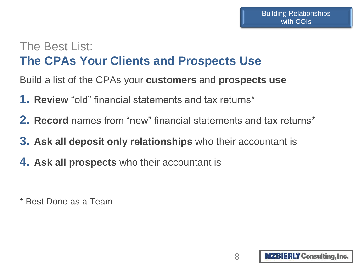### The Best List: **The CPAs Your Clients and Prospects Use**

Build a list of the CPAs your **customers** and **prospects use**

- **1. Review** "old" financial statements and tax returns\*
- **2. Record** names from "new" financial statements and tax returns\*
- **3. Ask all deposit only relationships** who their accountant is
- **4. Ask all prospects** who their accountant is

\* Best Done as a Team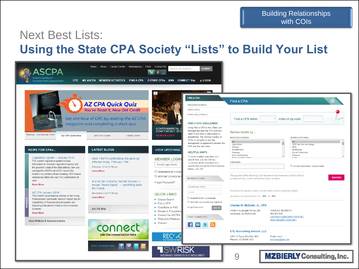## Next Best Lists: **Using the State CPA Society "Lists" to Build Your List**

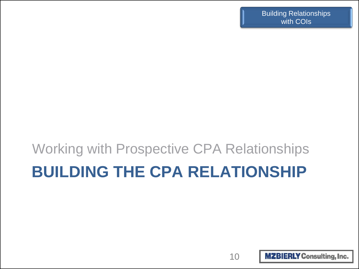# **BUILDING THE CPA RELATIONSHIP** Working with Prospective CPA Relationships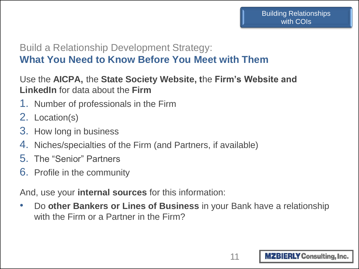#### Build a Relationship Development Strategy: **What You Need to Know Before You Meet with Them**

#### Use the **AICPA,** the **State Society Website, t**he **Firm's Website and LinkedIn** for data about the **Firm**

- 1. Number of professionals in the Firm
- 2. Location(s)
- 3. How long in business
- 4. Niches/specialties of the Firm (and Partners, if available)
- 5. The "Senior" Partners
- 6. Profile in the community

And, use your **internal sources** for this information:

• Do **other Bankers or Lines of Business** in your Bank have a relationship with the Firm or a Partner in the Firm?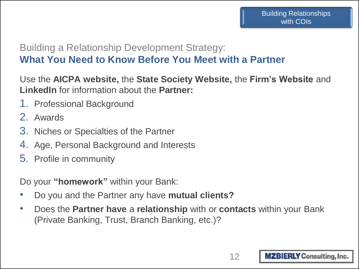#### Building a Relationship Development Strategy: **What You Need to Know Before You Meet with a Partner**

Use the **AICPA website,** the **State Society Website,** the **Firm's Website** and **LinkedIn** for information about the **Partner:**

- 1. Professional Background
- 2. Awards
- 3. Niches or Specialties of the Partner
- 4. Age, Personal Background and Interests
- 5. Profile in community

Do your **"homework"** within your Bank:

- Do you and the Partner any have **mutual clients?**
- Does the **Partner have** a **relationship** with or **contacts** within your Bank (Private Banking, Trust, Branch Banking, etc.)?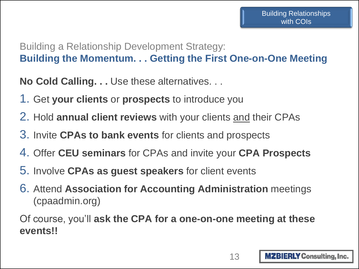### Building a Relationship Development Strategy: **Building the Momentum. . . Getting the First One-on-One Meeting**

**No Cold Calling. . .** Use these alternatives. . .

- 1. Get **your clients** or **prospects** to introduce you
- 2. Hold **annual client reviews** with your clients and their CPAs
- 3. Invite **CPAs to bank events** for clients and prospects
- 4. Offer **CEU seminars** for CPAs and invite your **CPA Prospects**
- 5. Involve **CPAs as guest speakers** for client events
- 6. Attend **Association for Accounting Administration** meetings (cpaadmin.org)

Of course, you'll **ask the CPA for a one-on-one meeting at these events!!**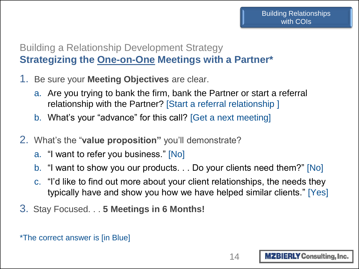### Building a Relationship Development Strategy **Strategizing the One-on-One Meetings with a Partner\***

- 1. Be sure your **Meeting Objectives** are clear.
	- a. Are you trying to bank the firm, bank the Partner or start a referral relationship with the Partner? [Start a referral relationship ]
	- b. What's your "advance" for this call? [Get a next meeting]
- 2. What's the "**value proposition"** you'll demonstrate?
	- a. "I want to refer you business." [No]
	- b. "I want to show you our products. . . Do your clients need them?" [No]
	- c. "I'd like to find out more about your client relationships, the needs they typically have and show you how we have helped similar clients." [Yes]
- 3. Stay Focused. . . **5 Meetings in 6 Months!**

\*The correct answer is [in Blue]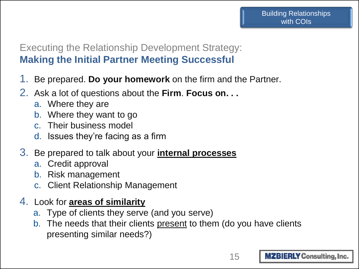#### Executing the Relationship Development Strategy: **Making the Initial Partner Meeting Successful**

- 1. Be prepared. **Do your homework** on the firm and the Partner.
- 2. Ask a lot of questions about the **Firm**. **Focus on. . .**
	- a. Where they are
	- b. Where they want to go
	- c. Their business model
	- d. Issues they're facing as a firm
- 3. Be prepared to talk about your **internal processes**
	- a. Credit approval
	- b. Risk management
	- c. Client Relationship Management
- 4. Look for **areas of similarity**
	- a. Type of clients they serve (and you serve)
	- b. The needs that their clients present to them (do you have clients presenting similar needs?)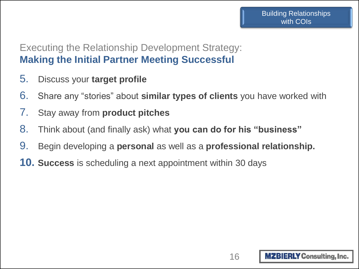#### Executing the Relationship Development Strategy: **Making the Initial Partner Meeting Successful**

- 5. Discuss your **target profile**
- 6. Share any "stories" about **similar types of clients** you have worked with
- 7. Stay away from **product pitches**
- 8. Think about (and finally ask) what **you can do for his "business"**
- 9. Begin developing a **personal** as well as a **professional relationship.**
- **10. Success** is scheduling a next appointment within 30 days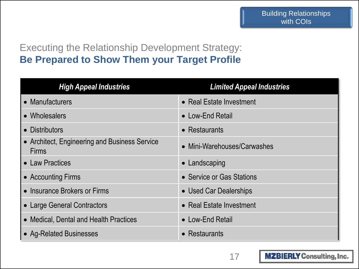### Executing the Relationship Development Strategy: **Be Prepared to Show Them your Target Profile**

| <b>High Appeal Industries</b>                                 | <b>Limited Appeal Industries</b> |
|---------------------------------------------------------------|----------------------------------|
| • Manufacturers                                               | • Real Estate Investment         |
| • Wholesalers                                                 | • Low-End Retail                 |
| • Distributors                                                | $\bullet$ Restaurants            |
| • Architect, Engineering and Business Service<br><b>Firms</b> | • Mini-Warehouses/Carwashes      |
| <b>Law Practices</b>                                          | • Landscaping                    |
| • Accounting Firms                                            | • Service or Gas Stations        |
| • Insurance Brokers or Firms                                  | • Used Car Dealerships           |
| • Large General Contractors                                   | • Real Estate Investment         |
| • Medical, Dental and Health Practices                        | • Low-End Retail                 |
| • Ag-Related Businesses                                       | $\bullet$ Restaurants            |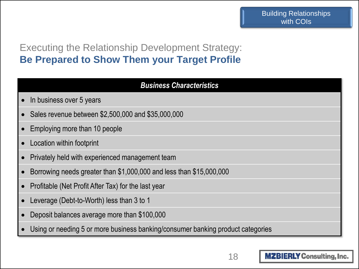### Executing the Relationship Development Strategy: **Be Prepared to Show Them your Target Profile**

| <b>Business Characteristics</b>                                                 |
|---------------------------------------------------------------------------------|
| In business over 5 years                                                        |
| Sales revenue between \$2,500,000 and \$35,000,000                              |
| Employing more than 10 people                                                   |
| Location within footprint                                                       |
| Privately held with experienced management team                                 |
| Borrowing needs greater than \$1,000,000 and less than \$15,000,000             |
| Profitable (Net Profit After Tax) for the last year                             |
| Leverage (Debt-to-Worth) less than 3 to 1                                       |
| Deposit balances average more than \$100,000                                    |
| Using or needing 5 or more business banking/consumer banking product categories |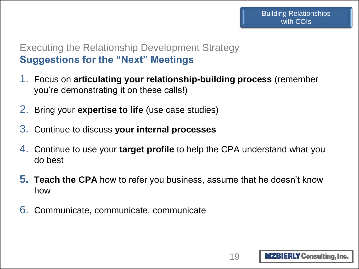#### Executing the Relationship Development Strategy **Suggestions for the "Next" Meetings**

- 1. Focus on **articulating your relationship-building process** (remember you're demonstrating it on these calls!)
- 2. Bring your **expertise to life** (use case studies)
- 3. Continue to discuss **your internal processes**
- 4. Continue to use your **target profile** to help the CPA understand what you do best
- **5. Teach the CPA** how to refer you business, assume that he doesn't know how
- 6. Communicate, communicate, communicate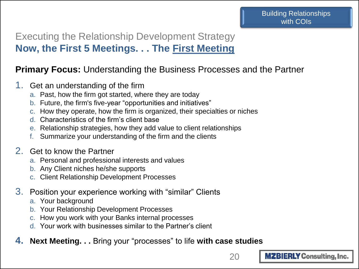### Executing the Relationship Development Strategy **Now, the First 5 Meetings. . . The First Meeting**

#### **Primary Focus:** Understanding the Business Processes and the Partner

- 1. Get an understanding of the firm
	- a. Past, how the firm got started, where they are today
	- b. Future, the firm's five-year "opportunities and initiatives"
	- c. How they operate, how the firm is organized, their specialties or niches
	- d. Characteristics of the firm's client base
	- e. Relationship strategies, how they add value to client relationships
	- Summarize your understanding of the firm and the clients

#### 2. Get to know the Partner

- a. Personal and professional interests and values
- b. Any Client niches he/she supports
- c. Client Relationship Development Processes
- 3. Position your experience working with "similar" Clients
	- a. Your background
	- b. Your Relationship Development Processes
	- c. How you work with your Banks internal processes
	- d. Your work with businesses similar to the Partner's client
- **4. Next Meeting. . .** Bring your "processes" to life **with case studies**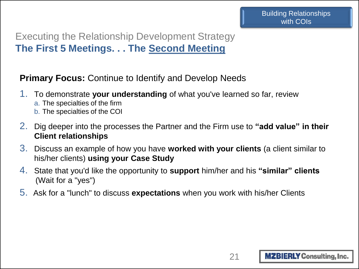### Executing the Relationship Development Strategy **The First 5 Meetings. . . The Second Meeting**

**Primary Focus:** Continue to Identify and Develop Needs

- 1. To demonstrate **your understanding** of what you've learned so far, review
	- a. The specialties of the firm
	- b. The specialties of the COI
- 2. Dig deeper into the processes the Partner and the Firm use to **"add value" in their Client relationships**
- 3. Discuss an example of how you have **worked with your clients** (a client similar to his/her clients) **using your Case Study**
- 4. State that you'd like the opportunity to **support** him/her and his **"similar" clients** (Wait for a "yes")
- 5. Ask for a "lunch" to discuss **expectations** when you work with his/her Clients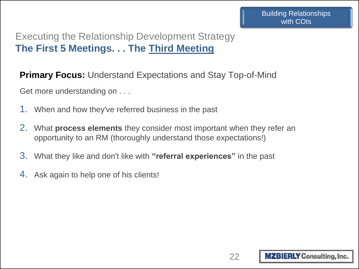### Executing the Relationship Development Strategy **The First 5 Meetings. . . The Third Meeting**

**Primary Focus:** Understand Expectations and Stay Top-of-Mind

Get more understanding on . . .

- 1. When and how they've referred business in the past
- 2. What **process elements** they consider most important when they refer an opportunity to an RM (thoroughly understand those expectations!)
- 3. What they like and don't like with **"referral experiences"** in the past
- 4. Ask again to help one of his clients!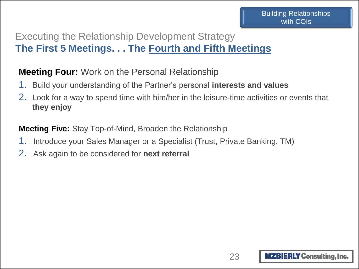### Executing the Relationship Development Strategy **The First 5 Meetings. . . The Fourth and Fifth Meetings**

#### **Meeting Four:** Work on the Personal Relationship

- 1. Build your understanding of the Partner's personal **interests and values**
- 2. Look for a way to spend time with him/her in the leisure-time activities or events that **they enjoy**

**Meeting Five:** Stay Top-of-Mind, Broaden the Relationship

- 1. Introduce your Sales Manager or a Specialist (Trust, Private Banking, TM)
- 2. Ask again to be considered for **next referral**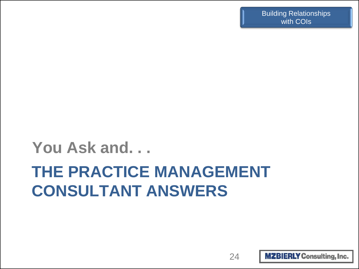# **THE PRACTICE MANAGEMENT CONSULTANT ANSWERS You Ask and. . .**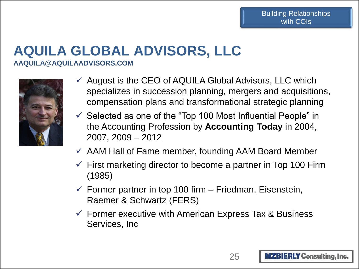### **AQUILA GLOBAL ADVISORS, LLC AAQUILA@AQUILAADVISORS.COM**



- $\checkmark$  August is the CEO of AQUILA Global Advisors, LLC which specializes in succession planning, mergers and acquisitions, compensation plans and transformational strategic planning
- $\checkmark$  Selected as one of the "Top 100 Most Influential People" in the Accounting Profession by **Accounting Today** in 2004, 2007, 2009 – 2012
- $\checkmark$  AAM Hall of Fame member, founding AAM Board Member
- $\checkmark$  First marketing director to become a partner in Top 100 Firm (1985)
- $\checkmark$  Former partner in top 100 firm Friedman, Eisenstein, Raemer & Schwartz (FERS)
- $\checkmark$  Former executive with American Express Tax & Business Services, Inc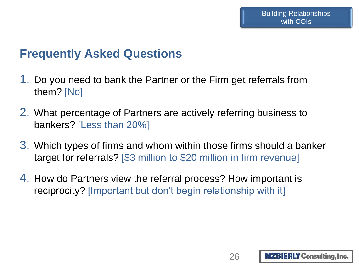## **Frequently Asked Questions**

- 1. Do you need to bank the Partner or the Firm get referrals from them? [No]
- 2. What percentage of Partners are actively referring business to bankers? [Less than 20%]
- 3. Which types of firms and whom within those firms should a banker target for referrals? [\$3 million to \$20 million in firm revenue]
- 4. How do Partners view the referral process? How important is reciprocity? [Important but don't begin relationship with it]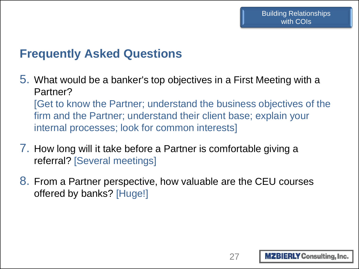## **Frequently Asked Questions**

- 5. What would be a banker's top objectives in a First Meeting with a Partner? [Get to know the Partner; understand the business objectives of the firm and the Partner; understand their client base; explain your internal processes; look for common interests]
- 7. How long will it take before a Partner is comfortable giving a referral? [Several meetings]
- 8. From a Partner perspective, how valuable are the CEU courses offered by banks? [Huge!]

27